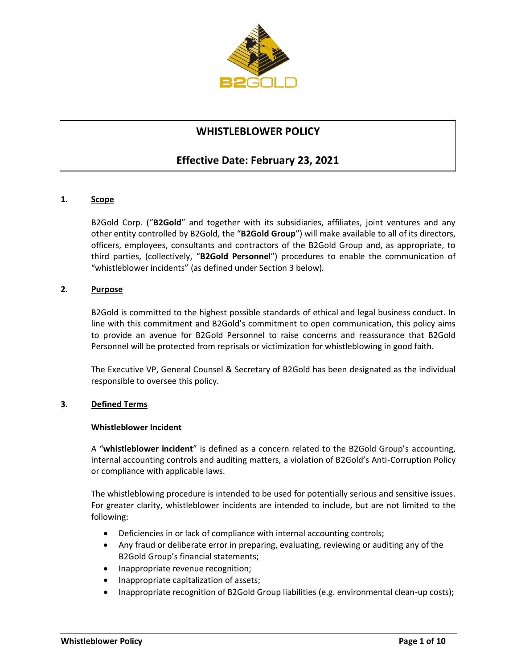

# **WHISTLEBLOWER POLICY**

# **Effective Date: February 23, 2021**

# **1. Scope**

B2Gold Corp. ("**B2Gold**" and together with its subsidiaries, affiliates, joint ventures and any other entity controlled by B2Gold, the "**B2Gold Group**") will make available to all of its directors, officers, employees, consultants and contractors of the B2Gold Group and, as appropriate, to third parties, (collectively, "**B2Gold Personnel**") procedures to enable the communication of "whistleblower incidents" (as defined under Sectio[n 3](#page-0-0) below)*.*

# **2. Purpose**

B2Gold is committed to the highest possible standards of ethical and legal business conduct. In line with this commitment and B2Gold's commitment to open communication, this policy aims to provide an avenue for B2Gold Personnel to raise concerns and reassurance that B2Gold Personnel will be protected from reprisals or victimization for whistleblowing in good faith.

The Executive VP, General Counsel & Secretary of B2Gold has been designated as the individual responsible to oversee this policy.

# <span id="page-0-0"></span>**3. Defined Terms**

#### **Whistleblower Incident**

A "**whistleblower incident**" is defined as a concern related to the B2Gold Group's accounting, internal accounting controls and auditing matters, a violation of B2Gold's Anti-Corruption Policy or compliance with applicable laws.

The whistleblowing procedure is intended to be used for potentially serious and sensitive issues. For greater clarity, whistleblower incidents are intended to include, but are not limited to the following:

- Deficiencies in or lack of compliance with internal accounting controls;
- Any fraud or deliberate error in preparing, evaluating, reviewing or auditing any of the B2Gold Group's financial statements;
- Inappropriate revenue recognition;
- Inappropriate capitalization of assets;
- Inappropriate recognition of B2Gold Group liabilities (e.g. environmental clean-up costs);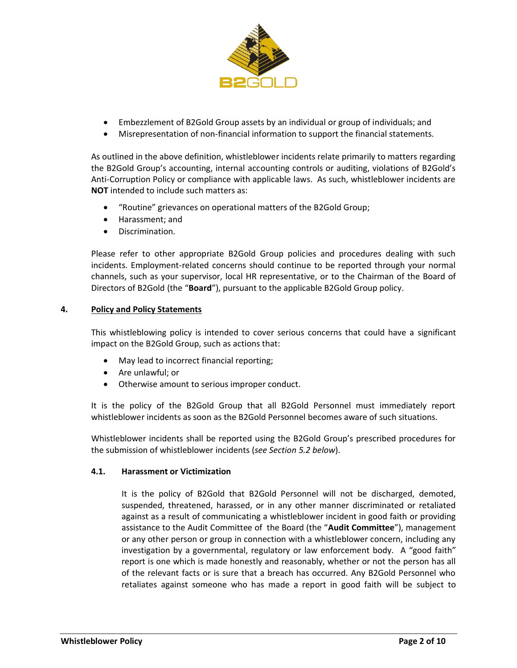

- Embezzlement of B2Gold Group assets by an individual or group of individuals; and
- Misrepresentation of non-financial information to support the financial statements.

As outlined in the above definition, whistleblower incidents relate primarily to matters regarding the B2Gold Group's accounting, internal accounting controls or auditing, violations of B2Gold's Anti-Corruption Policy or compliance with applicable laws. As such, whistleblower incidents are **NOT** intended to include such matters as:

- "Routine" grievances on operational matters of the B2Gold Group;
- Harassment; and
- Discrimination.

Please refer to other appropriate B2Gold Group policies and procedures dealing with such incidents. Employment-related concerns should continue to be reported through your normal channels, such as your supervisor, local HR representative, or to the Chairman of the Board of Directors of B2Gold (the "**Board**"), pursuant to the applicable B2Gold Group policy.

## **4. Policy and Policy Statements**

This whistleblowing policy is intended to cover serious concerns that could have a significant impact on the B2Gold Group, such as actions that:

- May lead to incorrect financial reporting;
- Are unlawful; or
- Otherwise amount to serious improper conduct.

It is the policy of the B2Gold Group that all B2Gold Personnel must immediately report whistleblower incidents as soon as the B2Gold Personnel becomes aware of such situations.

Whistleblower incidents shall be reported using the B2Gold Group's prescribed procedures for the submission of whistleblower incidents (*see Sectio[n 5.2](#page-3-0) below*).

#### **4.1. Harassment or Victimization**

It is the policy of B2Gold that B2Gold Personnel will not be discharged, demoted, suspended, threatened, harassed, or in any other manner discriminated or retaliated against as a result of communicating a whistleblower incident in good faith or providing assistance to the Audit Committee of the Board (the "**Audit Committee**"), management or any other person or group in connection with a whistleblower concern, including any investigation by a governmental, regulatory or law enforcement body*.* A "good faith" report is one which is made honestly and reasonably, whether or not the person has all of the relevant facts or is sure that a breach has occurred. Any B2Gold Personnel who retaliates against someone who has made a report in good faith will be subject to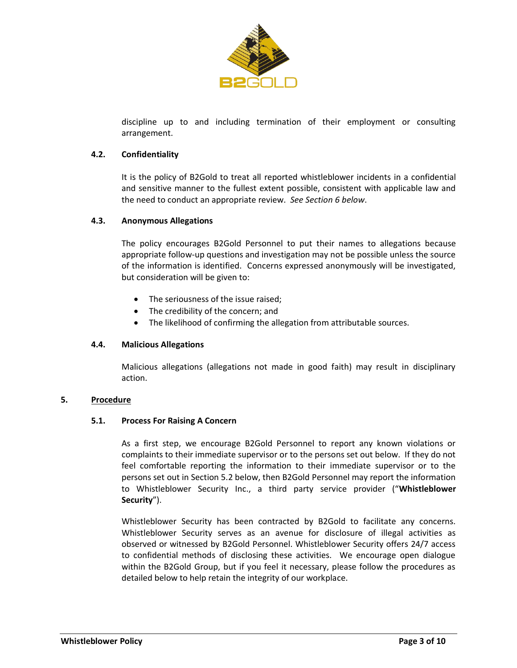

discipline up to and including termination of their employment or consulting arrangement.

## **4.2. Confidentiality**

It is the policy of B2Gold to treat all reported whistleblower incidents in a confidential and sensitive manner to the fullest extent possible, consistent with applicable law and the need to conduct an appropriate review. *See Sectio[n 6](#page-3-1) below*.

## **4.3. Anonymous Allegations**

The policy encourages B2Gold Personnel to put their names to allegations because appropriate follow-up questions and investigation may not be possible unless the source of the information is identified. Concerns expressed anonymously will be investigated, but consideration will be given to:

- The seriousness of the issue raised:
- The credibility of the concern; and
- The likelihood of confirming the allegation from attributable sources.

# **4.4. Malicious Allegations**

Malicious allegations (allegations not made in good faith) may result in disciplinary action.

#### **5. Procedure**

#### **5.1. Process For Raising A Concern**

As a first step, we encourage B2Gold Personnel to report any known violations or complaints to their immediate supervisor or to the persons set out below. If they do not feel comfortable reporting the information to their immediate supervisor or to the persons set out in Section [5.2](#page-3-0) below, then B2Gold Personnel may report the information to Whistleblower Security Inc., a third party service provider ("**Whistleblower Security**").

Whistleblower Security has been contracted by B2Gold to facilitate any concerns. Whistleblower Security serves as an avenue for disclosure of illegal activities as observed or witnessed by B2Gold Personnel. Whistleblower Security offers 24/7 access to confidential methods of disclosing these activities. We encourage open dialogue within the B2Gold Group, but if you feel it necessary, please follow the procedures as detailed below to help retain the integrity of our workplace.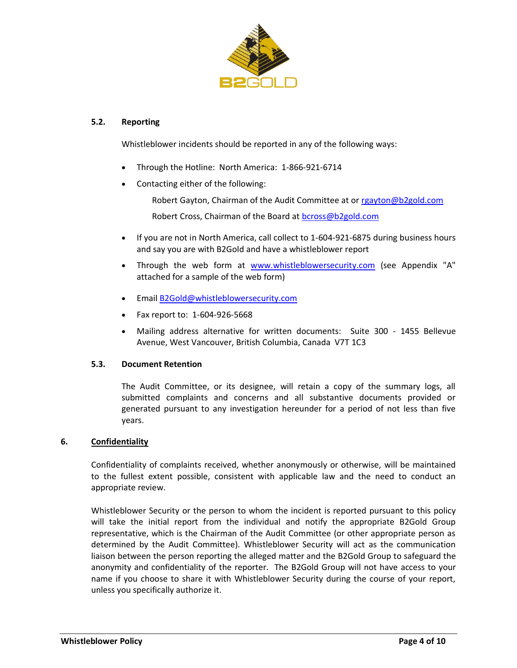

## <span id="page-3-0"></span>**5.2. Reporting**

Whistleblower incidents should be reported in any of the following ways:

- Through the Hotline: North America: 1-866-921-6714
- Contacting either of the following:

Robert Gayton, Chairman of the Audit Committee at or [rgayton@b2gold.com](mailto:rgayton@b2gold.com)

Robert Cross, Chairman of the Board at **bcross@b2gold.com** 

- If you are not in North America, call collect to 1-604-921-6875 during business hours and say you are with B2Gold and have a whistleblower report
- Through the web form at [www.whistleblowersecurity.com](http://www.whistleblowersecurity.com/) (see Appendix "A" attached for a sample of the web form)
- Email [B2Gold@whistleblowersecurity.com](mailto:B2Gold@whistleblowersecurity.com)
- Fax report to: 1-604-926-5668
- Mailing address alternative for written documents: Suite 300 1455 Bellevue Avenue, West Vancouver, British Columbia, Canada V7T 1C3

# **5.3. Document Retention**

The Audit Committee, or its designee, will retain a copy of the summary logs, all submitted complaints and concerns and all substantive documents provided or generated pursuant to any investigation hereunder for a period of not less than five years.

#### <span id="page-3-1"></span>**6. Confidentiality**

Confidentiality of complaints received, whether anonymously or otherwise, will be maintained to the fullest extent possible, consistent with applicable law and the need to conduct an appropriate review.

Whistleblower Security or the person to whom the incident is reported pursuant to this policy will take the initial report from the individual and notify the appropriate B2Gold Group representative, which is the Chairman of the Audit Committee (or other appropriate person as determined by the Audit Committee). Whistleblower Security will act as the communication liaison between the person reporting the alleged matter and the B2Gold Group to safeguard the anonymity and confidentiality of the reporter. The B2Gold Group will not have access to your name if you choose to share it with Whistleblower Security during the course of your report, unless you specifically authorize it.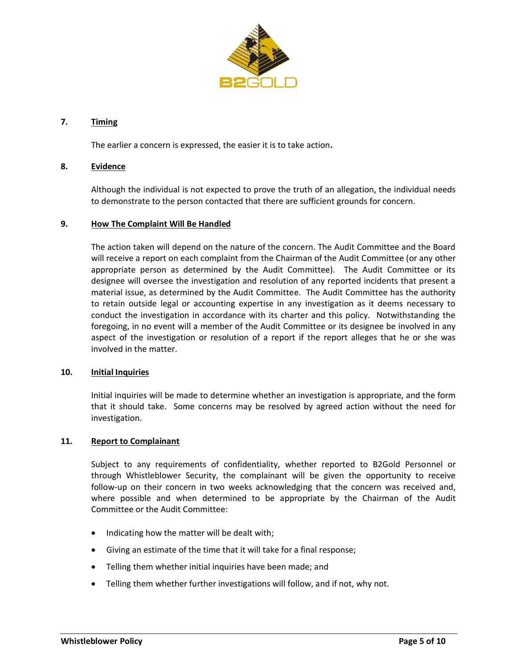

## **7. Timing**

The earlier a concern is expressed, the easier it is to take action**.**

# **8. Evidence**

Although the individual is not expected to prove the truth of an allegation, the individual needs to demonstrate to the person contacted that there are sufficient grounds for concern.

#### **9. How The Complaint Will Be Handled**

The action taken will depend on the nature of the concern. The Audit Committee and the Board will receive a report on each complaint from the Chairman of the Audit Committee (or any other appropriate person as determined by the Audit Committee). The Audit Committee or its designee will oversee the investigation and resolution of any reported incidents that present a material issue, as determined by the Audit Committee. The Audit Committee has the authority to retain outside legal or accounting expertise in any investigation as it deems necessary to conduct the investigation in accordance with its charter and this policy. Notwithstanding the foregoing, in no event will a member of the Audit Committee or its designee be involved in any aspect of the investigation or resolution of a report if the report alleges that he or she was involved in the matter.

#### **10. Initial Inquiries**

Initial inquiries will be made to determine whether an investigation is appropriate, and the form that it should take. Some concerns may be resolved by agreed action without the need for investigation.

#### **11. Report to Complainant**

Subject to any requirements of confidentiality, whether reported to B2Gold Personnel or through Whistleblower Security, the complainant will be given the opportunity to receive follow-up on their concern in two weeks acknowledging that the concern was received and, where possible and when determined to be appropriate by the Chairman of the Audit Committee or the Audit Committee:

- Indicating how the matter will be dealt with;
- Giving an estimate of the time that it will take for a final response;
- Telling them whether initial inquiries have been made; and
- Telling them whether further investigations will follow, and if not, why not.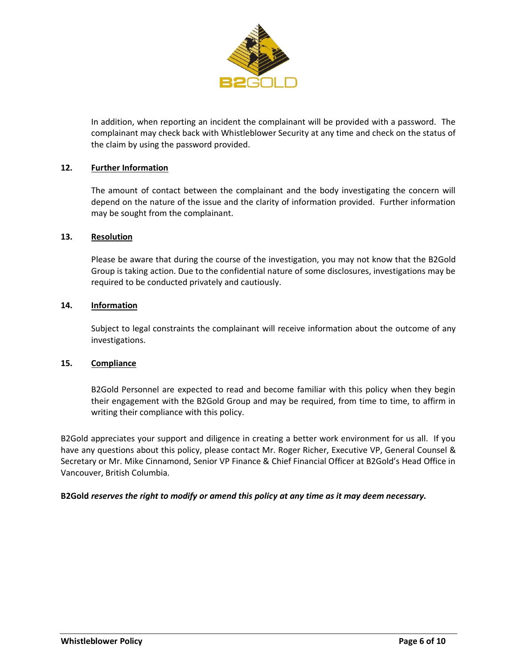

In addition, when reporting an incident the complainant will be provided with a password. The complainant may check back with Whistleblower Security at any time and check on the status of the claim by using the password provided.

## **12. Further Information**

The amount of contact between the complainant and the body investigating the concern will depend on the nature of the issue and the clarity of information provided. Further information may be sought from the complainant.

# **13. Resolution**

Please be aware that during the course of the investigation, you may not know that the B2Gold Group is taking action. Due to the confidential nature of some disclosures, investigations may be required to be conducted privately and cautiously.

# **14. Information**

Subject to legal constraints the complainant will receive information about the outcome of any investigations.

#### **15. Compliance**

B2Gold Personnel are expected to read and become familiar with this policy when they begin their engagement with the B2Gold Group and may be required, from time to time, to affirm in writing their compliance with this policy.

B2Gold appreciates your support and diligence in creating a better work environment for us all. If you have any questions about this policy, please contact Mr. Roger Richer, Executive VP, General Counsel & Secretary or Mr. Mike Cinnamond, Senior VP Finance & Chief Financial Officer at B2Gold's Head Office in Vancouver, British Columbia.

#### **B2Gold** *reserves the right to modify or amend this policy at any time as it may deem necessary.*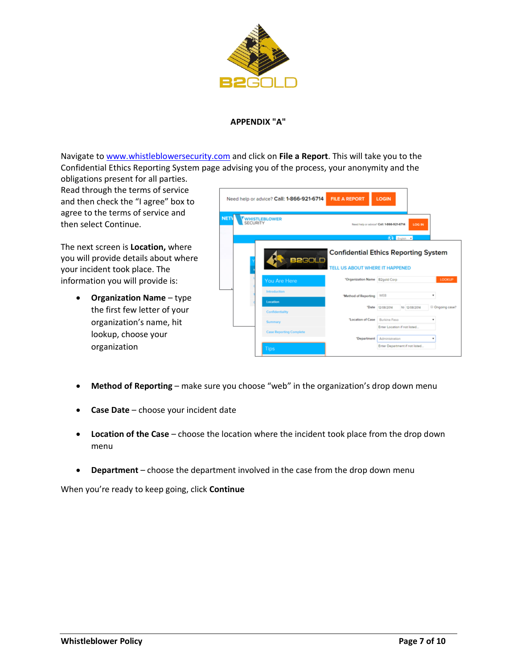

# **APPENDIX "A"**

Navigate to [www.whistleblowersecurity.com](http://www.whistleblowersecurity.com/) and click on **File a Report**. This will take you to the Confidential Ethics Reporting System page advising you of the process, your anonymity and the

obligations present for all parties. Read through the terms of service and then check the "I agree" box to agree to the terms of service and then select Continue.

The next screen is **Location,** where you will provide details about where your incident took place. The information you will provide is:

> • **Organization Name** – type the first few letter of your organization's name, hit lookup, choose your organization

|             | Need help or advice? Call: 1-866-921-6714 | <b>FILE A REPORT</b>                                                     | <b>LOGIN</b>                                        |                    |
|-------------|-------------------------------------------|--------------------------------------------------------------------------|-----------------------------------------------------|--------------------|
| <b>NETV</b> | WHISTLEBLOWER<br>SECURITY                 |                                                                          | LOG IN<br>Need help or advice? Call: 1-866-921-6714 |                    |
|             | <b>B2GOLD</b>                             | <b>Confidential Ethics Reporting System</b>                              | <b>Q</b> Ingian -                                   |                    |
|             | You Are Here<br>Introduction              | <b>TELL US ABOUT WHERE IT HAPPENED</b><br>"Organization Name B2gold Corp |                                                     | LOOKUP             |
|             | Location<br>Confidentiality               | "Method of Reporting<br>"Date                                            | WEB<br>12/08/2014<br>to 12/08/2014                  | ٠<br>Ongoing case? |
|             | Summary<br><b>Case Reporting Complete</b> | 'Location of Case                                                        | Burkina Faso<br>Enter Location if not listed        |                    |
|             | <b>Tips</b>                               | "Department                                                              | Administration<br>Enter Department if not listed    |                    |

- **Method of Reporting** make sure you choose "web" in the organization's drop down menu
- **Case Date** choose your incident date
- **Location of the Case** choose the location where the incident took place from the drop down menu
- **Department** choose the department involved in the case from the drop down menu

When you're ready to keep going, click **Continue**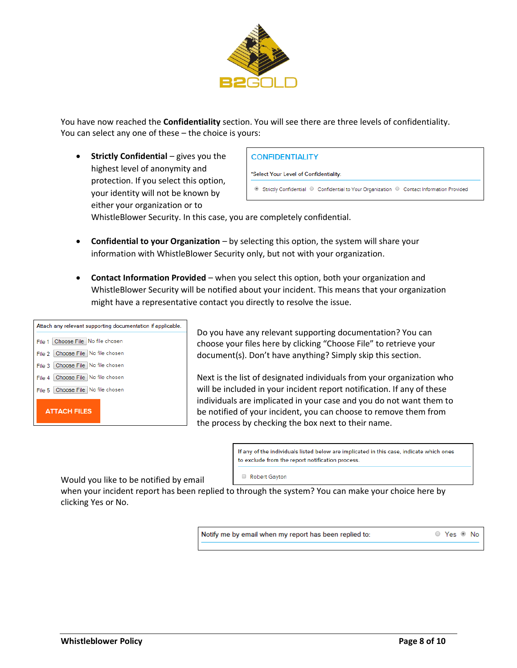

You have now reached the **Confidentiality** section. You will see there are three levels of confidentiality. You can select any one of these – the choice is yours:

• **Strictly Confidential** – gives you the highest level of anonymity and protection. If you select this option, your identity will not be known by either your organization or to

#### **CONFIDENTIALITY**

\*Select Your Level of Confidentiality:

Strictly Confidential C Confidential to Your Organization C Contact Information Provided

WhistleBlower Security. In this case, you are completely confidential.

- **Confidential to your Organization** by selecting this option, the system will share your information with WhistleBlower Security only, but not with your organization.
- **Contact Information Provided** when you select this option, both your organization and WhistleBlower Security will be notified about your incident. This means that your organization might have a representative contact you directly to resolve the issue.

| Attach any relevant supporting documentation if applicable. |
|-------------------------------------------------------------|
| File 1 Choose File   No file chosen                         |
| File 2 Choose File No file chosen                           |
| File 3 Choose File No file chosen                           |
| File 4   Choose File   No file chosen                       |
| File 5   Choose File   No file chosen                       |
| <b>ATTACH FILES</b>                                         |

Do you have any relevant supporting documentation? You can choose your files here by clicking "Choose File" to retrieve your document(s). Don't have anything? Simply skip this section.

Next is the list of designated individuals from your organization who will be included in your incident report notification. If any of these individuals are implicated in your case and you do not want them to be notified of your incident, you can choose to remove them from the process by checking the box next to their name.

> If any of the individuals listed below are implicated in this case, indicate which ones to exclude from the report notification process.

Would you like to be notified by email

Robert Gayton

when your incident report has been replied to through the system? You can make your choice here by clicking Yes or No.

Notify me by email when my report has been replied to:

© Yes ® No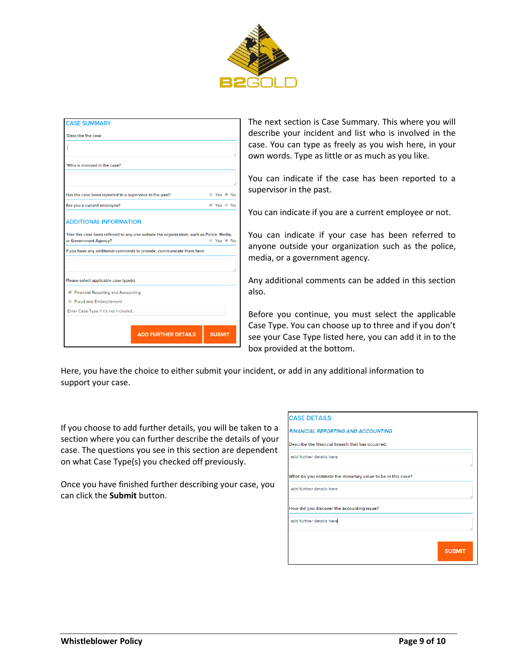

| *Describe the case                                                                                                                                                                          |                       |
|---------------------------------------------------------------------------------------------------------------------------------------------------------------------------------------------|-----------------------|
|                                                                                                                                                                                             |                       |
| *Who is involved in the case?                                                                                                                                                               |                       |
|                                                                                                                                                                                             |                       |
| Has the case been reported to a supervisor in the past?                                                                                                                                     | © Yes ® No            |
| Are you a current employee?                                                                                                                                                                 | <sup>◎</sup> Yes ◎ No |
| *Has this case been referred to any one outside the organization, such as Police, Media,<br>or Government Agency?<br>If you have any additional comments to provide, communicate them here: | © Yes ® No            |
|                                                                                                                                                                                             |                       |
| Please select applicable case type(s)                                                                                                                                                       |                       |
| <b>E</b> Financial Reporting and Accounting                                                                                                                                                 |                       |
| Fraud and Embezzlement                                                                                                                                                                      |                       |
| Enter Case Type if it's not included                                                                                                                                                        |                       |

The next section is Case Summary. This where you will describe your incident and list who is involved in the case. You can type as freely as you wish here, in your own words. Type as little or as much as you like.

You can indicate if the case has been reported to a supervisor in the past.

You can indicate if you are a current employee or not.

You can indicate if your case has been referred to anyone outside your organization such as the police, media, or a government agency.

Any additional comments can be added in this section also.

Before you continue, you must select the applicable Case Type. You can choose up to three and if you don't see your Case Type listed here, you can add it in to the box provided at the bottom.

Here, you have the choice to either submit your incident, or add in any additional information to support your case.

If you choose to add further details, you will be taken to a section where you can further describe the details of your case. The questions you see in this section are dependent on what Case Type(s) you checked off previously.

Once you have finished further describing your case, you can click the **Submit** button.

| <b>CASE DETAILS</b>                                         |               |
|-------------------------------------------------------------|---------------|
| <b>FINANCIAL REPORTING AND ACCOUNTING</b>                   |               |
| Describe the financial breach that has occurred.            |               |
| add further details here                                    |               |
| What do you estimate the monetary value to be in this case? |               |
| add further details here                                    |               |
| How did you discover the accounting issue?                  |               |
| add further details here                                    |               |
|                                                             |               |
|                                                             | <b>SUBMIT</b> |